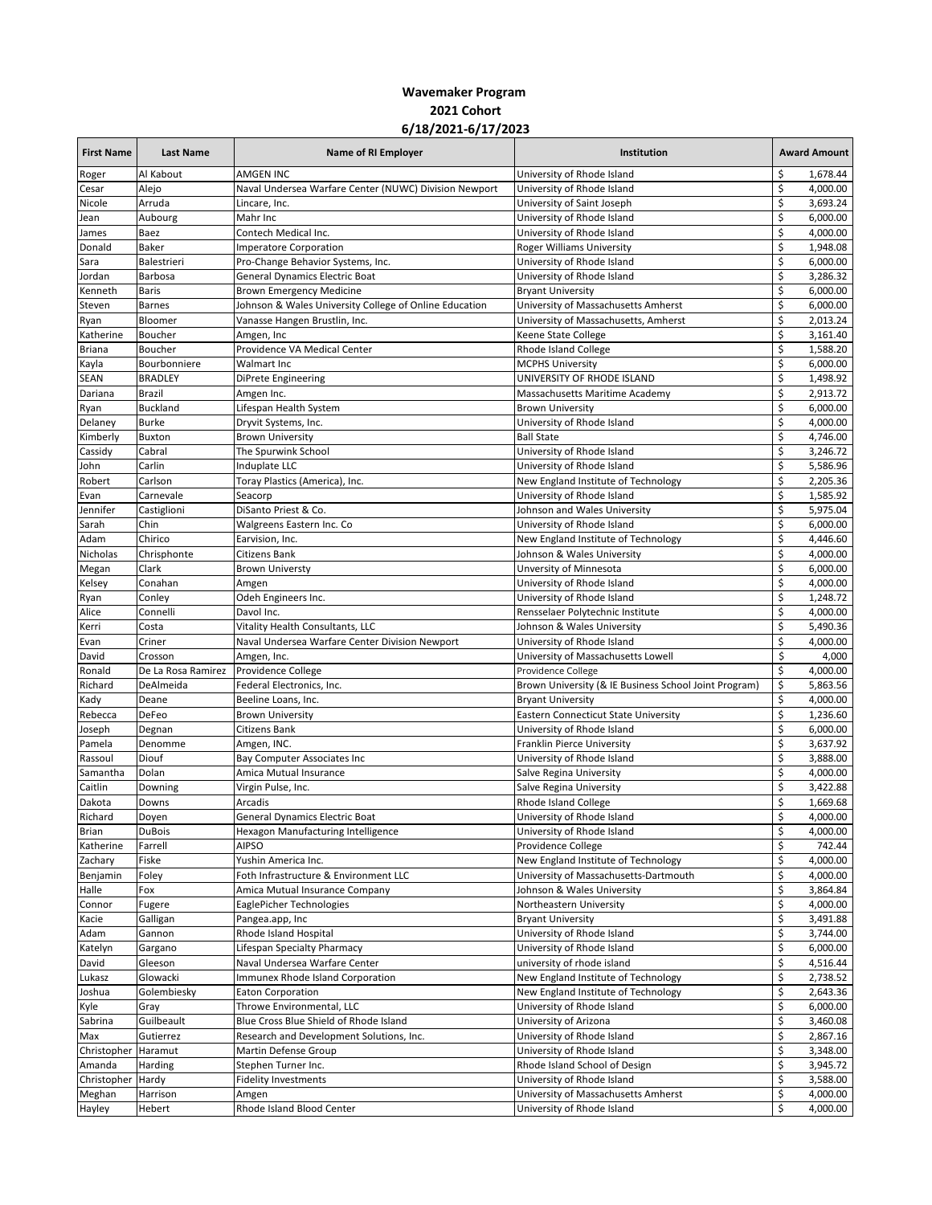## **Wavemaker Program 2021 Cohort 6/18/2021-6/17/2023**

| <b>First Name</b>   | <b>Last Name</b>   | Name of RI Employer                                    | Institution                                           | <b>Award Amount</b> |
|---------------------|--------------------|--------------------------------------------------------|-------------------------------------------------------|---------------------|
| Roger               | Al Kabout          | AMGEN INC                                              | University of Rhode Island                            | \$<br>1,678.44      |
| Cesar               | Alejo              | Naval Undersea Warfare Center (NUWC) Division Newport  | University of Rhode Island                            | \$<br>4,000.00      |
| Nicole              | Arruda             | Lincare, Inc.                                          | University of Saint Joseph                            | \$<br>3,693.24      |
| Jean                | Aubourg            | Mahr Inc                                               | University of Rhode Island                            | \$<br>6,000.00      |
| James               | Baez               | Contech Medical Inc.                                   | University of Rhode Island                            | \$<br>4,000.00      |
| Donald              | Baker              | <b>Imperatore Corporation</b>                          | <b>Roger Williams University</b>                      | \$<br>1,948.08      |
| Sara                | Balestrieri        | Pro-Change Behavior Systems, Inc.                      | University of Rhode Island                            | \$<br>6,000.00      |
| Jordan              | Barbosa            | <b>General Dynamics Electric Boat</b>                  | University of Rhode Island                            | \$<br>3,286.32      |
| Kenneth             | <b>Baris</b>       | Brown Emergency Medicine                               | <b>Bryant University</b>                              | \$<br>6,000.00      |
| Steven              | <b>Barnes</b>      | Johnson & Wales University College of Online Education | University of Massachusetts Amherst                   | \$<br>6,000.00      |
| Ryan                | Bloomer            | Vanasse Hangen Brustlin, Inc.                          | University of Massachusetts, Amherst                  | \$<br>2,013.24      |
| Katherine           | Boucher            | Amgen, Inc                                             | Keene State College                                   | \$<br>3,161.40      |
| <b>Briana</b>       | Boucher            | Providence VA Medical Center                           | Rhode Island College                                  | \$<br>1,588.20      |
| Kayla               | Bourbonniere       | Walmart Inc                                            | <b>MCPHS University</b>                               | \$<br>6,000.00      |
| <b>SEAN</b>         | <b>BRADLEY</b>     | DiPrete Engineering                                    | UNIVERSITY OF RHODE ISLAND                            | \$<br>1,498.92      |
| Dariana             | Brazil             | Amgen Inc.                                             | Massachusetts Maritime Academy                        | \$<br>2,913.72      |
| Ryan                | <b>Buckland</b>    | Lifespan Health System                                 | <b>Brown University</b>                               | \$<br>6,000.00      |
| Delaney             | <b>Burke</b>       | Dryvit Systems, Inc.                                   | University of Rhode Island                            | \$<br>4,000.00      |
| Kimberly            | <b>Buxton</b>      | <b>Brown University</b>                                | <b>Ball State</b>                                     | \$<br>4,746.00      |
| Cassidy             | Cabral             | The Spurwink School                                    | University of Rhode Island                            | \$<br>3,246.72      |
| John                | Carlin             | Induplate LLC                                          | University of Rhode Island                            | \$<br>5,586.96      |
| Robert              | Carlson            | Toray Plastics (America), Inc.                         | New England Institute of Technology                   | \$<br>2,205.36      |
| Evan                | Carnevale          | Seacorp                                                | University of Rhode Island                            | \$<br>1,585.92      |
| Jennifer            | Castiglioni        | DiSanto Priest & Co.                                   | Johnson and Wales University                          | \$<br>5,975.04      |
| Sarah               | Chin               | Walgreens Eastern Inc. Co                              | University of Rhode Island                            | \$<br>6,000.00      |
| Adam                | Chirico            | Earvision, Inc.                                        | New England Institute of Technology                   | \$<br>4,446.60      |
| Nicholas            | Chrisphonte        | Citizens Bank                                          | Johnson & Wales University                            | \$<br>4,000.00      |
| Megan               | Clark              | <b>Brown Universty</b>                                 | Unversity of Minnesota                                | \$<br>6,000.00      |
| Kelsey              | Conahan            | Amgen                                                  | University of Rhode Island                            | \$<br>4,000.00      |
| Ryan                | Conley             | Odeh Engineers Inc.                                    | University of Rhode Island                            | \$<br>1,248.72      |
| Alice               | Connelli           | Davol Inc.                                             | Rensselaer Polytechnic Institute                      | \$<br>4,000.00      |
| Kerri               | Costa              | Vitality Health Consultants, LLC                       | Johnson & Wales University                            | \$<br>5,490.36      |
| Evan                | Criner             | Naval Undersea Warfare Center Division Newport         | University of Rhode Island                            | \$<br>4,000.00      |
| David               | Crosson            | Amgen, Inc.                                            | University of Massachusetts Lowell                    | \$<br>4,000         |
| Ronald              | De La Rosa Ramirez | Providence College                                     | Providence College                                    | \$<br>4,000.00      |
| Richard             | DeAlmeida          | Federal Electronics, Inc.                              | Brown University (& IE Business School Joint Program) | \$<br>5,863.56      |
| Kady                | Deane              | Beeline Loans, Inc.                                    | <b>Bryant University</b>                              | \$<br>4,000.00      |
| Rebecca             | DeFeo              | <b>Brown University</b>                                | <b>Eastern Connecticut State University</b>           | \$<br>1,236.60      |
| Joseph              | Degnan             | Citizens Bank                                          | University of Rhode Island                            | \$<br>6,000.00      |
| Pamela              | Denomme            | Amgen, INC.                                            | Franklin Pierce University                            | \$<br>3,637.92      |
| Rassoul             | Diouf              | Bay Computer Associates Inc                            | University of Rhode Island                            | \$<br>3,888.00      |
| Samantha            | Dolan              | Amica Mutual Insurance                                 | Salve Regina University                               | \$<br>4,000.00      |
| Caitlin             | Downing            | Virgin Pulse, Inc.                                     | Salve Regina University                               | \$<br>3,422.88      |
| Dakota              | Downs              | Arcadis                                                | Rhode Island College                                  | \$<br>1,669.68      |
| Richard             | Doyen              | <b>General Dynamics Electric Boat</b>                  | University of Rhode Island                            | \$<br>4,000.00      |
| <b>Brian</b>        | <b>DuBois</b>      | Hexagon Manufacturing Intelligence                     | University of Rhode Island                            | \$<br>4,000.00      |
| Katherine           | Farrell            | <b>AIPSO</b>                                           | Providence College                                    | \$<br>742.44        |
| Zachary             | Fiske              | Yushin America Inc.                                    | New England Institute of Technology                   | \$<br>4,000.00      |
| Benjamin            | Foley              | Foth Infrastructure & Environment LLC                  | University of Massachusetts-Dartmouth                 | \$<br>4,000.00      |
| Halle               | Fox                | Amica Mutual Insurance Company                         | Johnson & Wales University                            | \$<br>3,864.84      |
| Connor              | Fugere             | EaglePicher Technologies                               | Northeastern University                               | \$<br>4,000.00      |
| Kacie               | Galligan           | Pangea.app, Inc                                        | <b>Bryant University</b>                              | \$<br>3,491.88      |
| Adam                | Gannon             | Rhode Island Hospital                                  | University of Rhode Island                            | \$<br>3,744.00      |
| Katelyn             | Gargano            | Lifespan Specialty Pharmacy                            | University of Rhode Island                            | \$<br>6,000.00      |
| David               | Gleeson            | Naval Undersea Warfare Center                          | university of rhode island                            | \$<br>4,516.44      |
| Lukasz              | Glowacki           | Immunex Rhode Island Corporation                       | New England Institute of Technology                   | \$<br>2,738.52      |
| Joshua              | Golembiesky        | <b>Eaton Corporation</b>                               | New England Institute of Technology                   | \$<br>2,643.36      |
| Kyle                | Gray               | Throwe Environmental, LLC                              | University of Rhode Island                            | \$<br>6,000.00      |
| Sabrina             | Guilbeault         | Blue Cross Blue Shield of Rhode Island                 | University of Arizona                                 | \$<br>3,460.08      |
| Max                 | Gutierrez          | Research and Development Solutions, Inc.               | University of Rhode Island                            | \$<br>2,867.16      |
| Christopher Haramut |                    | Martin Defense Group                                   | University of Rhode Island                            | \$<br>3,348.00      |
| Amanda              | Harding            | Stephen Turner Inc.                                    | Rhode Island School of Design                         | \$<br>3,945.72      |
| Christopher Hardy   |                    | <b>Fidelity Investments</b>                            | University of Rhode Island                            | \$<br>3,588.00      |
| Meghan              | Harrison           | Amgen                                                  | University of Massachusetts Amherst                   | \$<br>4,000.00      |
| Hayley              | Hebert             | Rhode Island Blood Center                              | University of Rhode Island                            | \$<br>4,000.00      |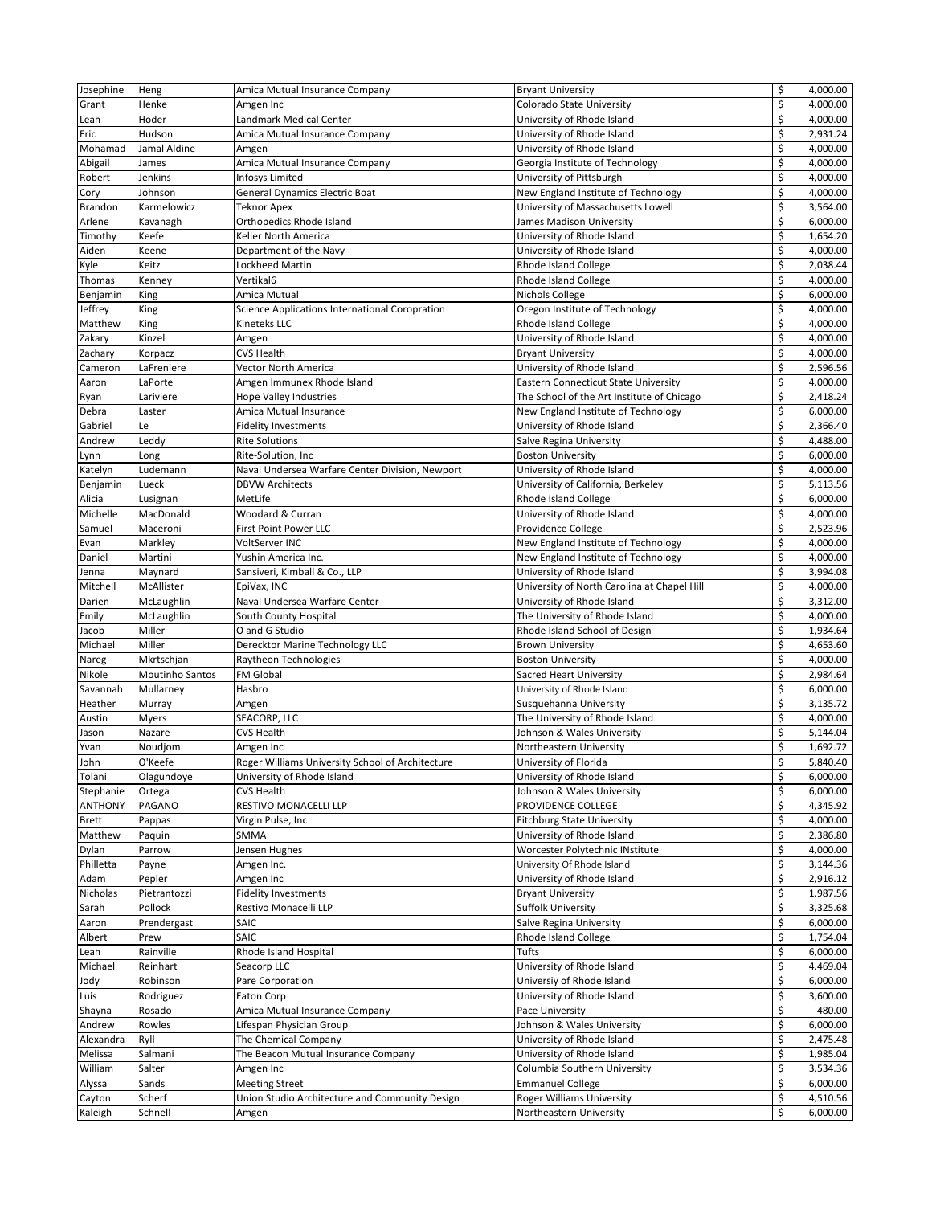|                |                 | Amica Mutual Insurance Company                   |                                             | \$      | 4,000.00 |
|----------------|-----------------|--------------------------------------------------|---------------------------------------------|---------|----------|
| Josephine      | Heng            |                                                  | <b>Bryant University</b>                    |         |          |
| Grant          | Henke           | Amgen Inc                                        | Colorado State University                   | \$      | 4,000.00 |
| Leah           | Hoder           | Landmark Medical Center                          | University of Rhode Island                  | \$      | 4,000.00 |
| Eric           | Hudson          | Amica Mutual Insurance Company                   | University of Rhode Island                  | \$      | 2,931.24 |
|                |                 |                                                  |                                             |         |          |
| Mohamad        | Jamal Aldine    | Amgen                                            | University of Rhode Island                  | \$      | 4,000.00 |
| Abigail        | James           | Amica Mutual Insurance Company                   | Georgia Institute of Technology             | \$      | 4,000.00 |
| Robert         | Jenkins         | Infosys Limited                                  | University of Pittsburgh                    | \$      | 4,000.00 |
| Cory           | Johnson         | <b>General Dynamics Electric Boat</b>            | New England Institute of Technology         | \$      | 4,000.00 |
|                |                 |                                                  |                                             |         |          |
| <b>Brandon</b> | Karmelowicz     | <b>Teknor Apex</b>                               | University of Massachusetts Lowell          | \$      | 3,564.00 |
| Arlene         | Kavanagh        | Orthopedics Rhode Island                         | James Madison University                    | \$      | 6,000.00 |
| Timothy        | Keefe           | Keller North America                             | University of Rhode Island                  | \$      | 1,654.20 |
|                |                 |                                                  |                                             |         |          |
| Aiden          | Keene           | Department of the Navy                           | University of Rhode Island                  | \$      | 4,000.00 |
| Kyle           | Keitz           | Lockheed Martin                                  | <b>Rhode Island College</b>                 | \$      | 2,038.44 |
| Thomas         | Kenney          | Vertikal6                                        | <b>Rhode Island College</b>                 | \$      | 4,000.00 |
| Benjamin       | King            | Amica Mutual                                     | Nichols College                             | \$      | 6,000.00 |
|                |                 |                                                  |                                             |         |          |
| Jeffrey        | King            | Science Applications International Coropration   | Oregon Institute of Technology              | \$      | 4,000.00 |
| Matthew        | King            | Kineteks LLC                                     | Rhode Island College                        | \$      | 4,000.00 |
| Zakary         | Kinzel          | Amgen                                            | University of Rhode Island                  | \$      | 4,000.00 |
|                |                 |                                                  |                                             |         |          |
| Zachary        | Korpacz         | CVS Health                                       | <b>Bryant University</b>                    | \$      | 4,000.00 |
| Cameron        | LaFreniere      | Vector North America                             | University of Rhode Island                  | \$      | 2,596.56 |
| Aaron          | LaPorte         | Amgen Immunex Rhode Island                       | <b>Eastern Connecticut State University</b> | \$      | 4,000.00 |
|                | Lariviere       |                                                  | The School of the Art Institute of Chicago  | \$      | 2,418.24 |
| Ryan           |                 | Hope Valley Industries                           |                                             |         |          |
| Debra          | Laster          | Amica Mutual Insurance                           | New England Institute of Technology         | \$      | 6,000.00 |
| Gabriel        | Le              | <b>Fidelity Investments</b>                      | University of Rhode Island                  | \$      | 2,366.40 |
| Andrew         | Leddy           | <b>Rite Solutions</b>                            | Salve Regina University                     | \$      | 4,488.00 |
|                |                 |                                                  |                                             |         |          |
| Lynn           | Long            | Rite-Solution, Inc                               | <b>Boston University</b>                    | \$      | 6,000.00 |
| Katelyn        | Ludemann        | Naval Undersea Warfare Center Division, Newport  | University of Rhode Island                  | \$      | 4,000.00 |
| Benjamin       | Lueck           | <b>DBVW Architects</b>                           | University of California, Berkeley          | \$      | 5,113.56 |
|                |                 |                                                  |                                             |         |          |
| Alicia         | Lusignan        | MetLife                                          | <b>Rhode Island College</b>                 | \$      | 6,000.00 |
| Michelle       | MacDonald       | Woodard & Curran                                 | University of Rhode Island                  | \$      | 4,000.00 |
| Samuel         | Maceroni        | <b>First Point Power LLC</b>                     | Providence College                          | \$      | 2,523.96 |
|                |                 |                                                  |                                             |         |          |
| Evan           | Markley         | VoltServer INC                                   | New England Institute of Technology         | \$      | 4,000.00 |
| Daniel         | Martini         | Yushin America Inc.                              | New England Institute of Technology         | \$      | 4,000.00 |
| Jenna          | Maynard         | Sansiveri, Kimball & Co., LLP                    | University of Rhode Island                  | \$      | 3,994.08 |
| Mitchell       | McAllister      | EpiVax, INC                                      | University of North Carolina at Chapel Hill | \$      | 4,000.00 |
|                |                 |                                                  |                                             |         |          |
| Darien         | McLaughlin      | Naval Undersea Warfare Center                    | University of Rhode Island                  | \$      | 3,312.00 |
| Emily          | McLaughlin      | South County Hospital                            | The University of Rhode Island              | \$      | 4,000.00 |
| Jacob          | Miller          | O and G Studio                                   | Rhode Island School of Design               | \$      | 1,934.64 |
|                |                 |                                                  |                                             |         |          |
| Michael        | Miller          | Derecktor Marine Technology LLC                  | <b>Brown University</b>                     | \$      | 4,653.60 |
| Nareg          | Mkrtschjan      | Raytheon Technologies                            | <b>Boston University</b>                    | \$      | 4,000.00 |
| Nikole         | Moutinho Santos | FM Global                                        | Sacred Heart University                     | \$      | 2,984.64 |
| Savannah       | Mullarney       | Hasbro                                           |                                             | \$      | 6,000.00 |
|                |                 |                                                  | University of Rhode Island                  |         |          |
| Heather        | Murray          | Amgen                                            | Susquehanna University                      | \$      | 3,135.72 |
| Austin         | Myers           | SEACORP, LLC                                     | The University of Rhode Island              | \$      | 4,000.00 |
| Jason          | Nazare          | <b>CVS Health</b>                                | Johnson & Wales University                  | \$      | 5,144.04 |
|                |                 |                                                  |                                             |         |          |
| Yvan           | Noudjom         | Amgen Inc                                        | Northeastern University                     | \$      | 1,692.72 |
| John           | O'Keefe         | Roger Williams University School of Architecture | University of Florida                       | $\zeta$ | 5,840.40 |
| Tolani         | Olagundoye      | University of Rhode Island                       | University of Rhode Island                  | \$      | 6,000.00 |
|                |                 |                                                  |                                             |         |          |
| Stephanie      | Ortega          | CVS Health                                       | Johnson & Wales University                  | \$      | 6,000.00 |
| <b>ANTHONY</b> | PAGANO          | RESTIVO MONACELLI LLP                            | PROVIDENCE COLLEGE                          | \$      | 4,345.92 |
| <b>Brett</b>   | Pappas          | Virgin Pulse, Inc                                | <b>Fitchburg State University</b>           | \$      | 4,000.00 |
| Matthew        | Paquin          | SMMA                                             | University of Rhode Island                  | \$      | 2,386.80 |
|                |                 |                                                  |                                             |         |          |
| Dylan          |                 |                                                  |                                             |         |          |
|                | Parrow          | Jensen Hughes                                    | Worcester Polytechnic INstitute             | \$      | 4,000.00 |
|                |                 |                                                  |                                             |         |          |
| Philletta      | Payne           | Amgen Inc.                                       | University Of Rhode Island                  | \$      | 3,144.36 |
| Adam           | Pepler          | Amgen Inc                                        | University of Rhode Island                  | \$      | 2,916.12 |
| Nicholas       | Pietrantozzi    | <b>Fidelity Investments</b>                      | <b>Bryant University</b>                    | \$      | 1,987.56 |
| Sarah          | Pollock         | Restivo Monacelli LLP                            | <b>Suffolk University</b>                   | \$      | 3,325.68 |
|                |                 |                                                  |                                             |         |          |
| Aaron          | Prendergast     | SAIC                                             | Salve Regina University                     | \$      | 6,000.00 |
| Albert         | Prew            | SAIC                                             | Rhode Island College                        | \$      | 1,754.04 |
| Leah           | Rainville       | Rhode Island Hospital                            | Tufts                                       | \$      | 6,000.00 |
|                |                 |                                                  |                                             |         |          |
| Michael        | Reinhart        | Seacorp LLC                                      | University of Rhode Island                  | \$      | 4,469.04 |
| Jody           | Robinson        | Pare Corporation                                 | Universiy of Rhode Island                   | \$      | 6,000.00 |
| Luis           | Rodriguez       | Eaton Corp                                       | University of Rhode Island                  | \$      | 3,600.00 |
|                |                 |                                                  |                                             |         | 480.00   |
| Shayna         | Rosado          | Amica Mutual Insurance Company                   | Pace University                             | \$      |          |
| Andrew         | Rowles          | Lifespan Physician Group                         | Johnson & Wales University                  | \$      | 6,000.00 |
| Alexandra      | Ryll            | The Chemical Company                             | University of Rhode Island                  | \$      | 2,475.48 |
| Melissa        | Salmani         | The Beacon Mutual Insurance Company              | University of Rhode Island                  | \$      | 1,985.04 |
|                |                 |                                                  |                                             |         |          |
| William        | Salter          | Amgen Inc                                        | Columbia Southern University                | \$      | 3,534.36 |
| Alyssa         | Sands           | <b>Meeting Street</b>                            | <b>Emmanuel College</b>                     | \$      | 6,000.00 |
| Cayton         | Scherf          | Union Studio Architecture and Community Design   | <b>Roger Williams University</b>            | \$      | 4,510.56 |
| Kaleigh        | Schnell         | Amgen                                            | Northeastern University                     | \$      | 6,000.00 |